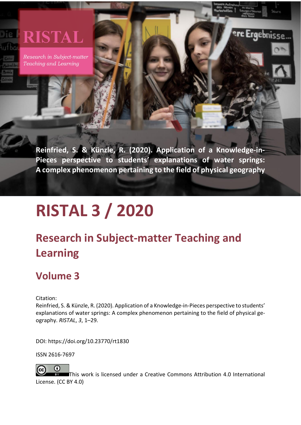# **RISTAL**

Research in Subject-matter Teaching and Learning

> **Reinfried, S. & Künzle, R. (2020). Application of a Knowledge-in-Pieces perspective to students' explanations of water springs: A complex phenomenon pertaining to the field of physical geography**

r**e Ergeb**nisse

# **RISTAL 3 / 2020**

# **Research in Subject-matter Teaching and Learning**

# **Volume 3**

Citation:

Reinfried, S. & Künzle, R. (2020). Application of a Knowledge-in-Pieces perspective to students' explanations of water springs: A complex phenomenon pertaining to the field of physical geography. *RISTAL*, *3*, 1–29.

DOI: https://doi.org/10.23770/rt1830

ISSN 2616-7697



This work is licensed under a [Creative Commons Attribution 4.0 International](http://creativecommons.org/licenses/by/4.0/)  [License.](http://creativecommons.org/licenses/by/4.0/) (CC BY 4.0)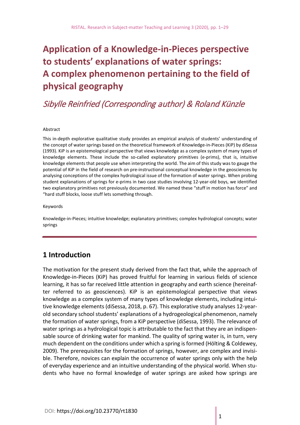# **Application of a Knowledge-in-Pieces perspective to students' explanations of water springs: A complex phenomenon pertaining to the field of physical geography**

# Sibylle Reinfried (Corresponding author) & Roland Künzle

#### Abstract

This in-depth explorative qualitative study provides an empirical analysis of students' understanding of the concept of water springs based on the theoretical framework of Knowledge-in-Pieces (KiP) by diSessa (1993). KiP is an epistemological perspective that views knowledge as a complex system of many types of knowledge elements. These include the so-called explanatory primitives (e-prims), that is, intuitive knowledge elements that people use when interpreting the world. The aim of this study was to gauge the potential of KiP in the field of research on pre-instructional conceptual knowledge in the geosciences by analysing conceptions of the complex hydrological issue of the formation of water springs. When probing student explanations of springs for e-prims in two case studies involving 12-year-old boys, we identified two explanatory primitives not previously documented. We named these "stuff in motion has force" and "hard stuff blocks, loose stuff lets something through.

#### Keywords

Knowledge-in-Pieces; intuitive knowledge; explanatory primitives; complex hydrological concepts; water springs

## **1 Introduction**

The motivation for the present study derived from the fact that, while the approach of Knowledge-in-Pieces (KiP) has proved fruitful for learning in various fields of science learning, it has so far received little attention in geography and earth science (hereinafter referred to as geosciences). KiP is an epistemological perspective that views knowledge as a complex system of many types of knowledge elements, including intuitive knowledge elements (diSessa, 2018, p. 67). This explorative study analyses 12-yearold secondary school students' explanations of a hydrogeological phenomenon, namely the formation of water springs, from a KiP perspective (diSessa, 1993). The relevance of water springs as a hydrological topic is attributable to the fact that they are an indispensable source of drinking water for mankind. The quality of spring water is, in turn, very much dependent on the conditions under which a spring is formed (Hölting & Coldewey, 2009). The prerequisites for the formation of springs, however, are complex and invisible. Therefore, novices can explain the occurrence of water springs only with the help of everyday experience and an intuitive understanding of the physical world. When students who have no formal knowledge of water springs are asked how springs are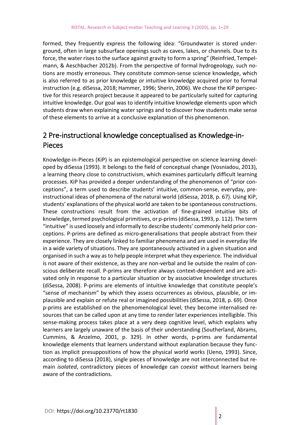formed, they frequently express the following idea: "Groundwater is stored underground, often in large subsurface openings such as caves, lakes, or channels. Due to its force, the water rises to the surface against gravity to form a spring" (Reinfried, Tempelmann, & Aeschbacher 2012b). From the perspective of formal hydrogeology, such notions are mostly erroneous. They constitute common-sense science knowledge, which is also referred to as prior knowledge or intuitive knowledge acquired prior to formal instruction (e.g. diSessa, 2018; Hammer, 1996; Sherin, 2006). We chose the KiP perspective for this research project because it appeared to be particularly suited for capturing intuitive knowledge. Our goal was to identify intuitive knowledge elements upon which students draw when explaining water springs and to discover how students make sense of these elements to arrive at a conclusive explanation of this phenomenon.

# 2 Pre-instructional knowledge conceptualised as Knowledge-in-Pieces

Knowledge-in-Pieces (KiP) is an epistemological perspective on science learning developed by diSessa (1993). It belongs to the field of conceptual change (Vosniadou, 2013), a learning theory close to constructivism, which examines particularly difficult learning processes. KiP has provided a deeper understanding of the phenomenon of "prior conceptions", a term used to describe students' intuitive, common-sense, everyday, preinstructional ideas of phenomena of the natural world (diSessa, 2018, p. 67). Using KiP, students' explanations of the physical world are taken to be spontaneous constructions. These constructions result from the activation of fine-grained intuitive bits of knowledge, termed psychological primitives, or p-prims (diSessa, 1993, p. 112). The term "intuitive" is used loosely and informally to describe students' commonly held prior conceptions. P-prims are defined as micro-generalisations that people abstract from their experience. They are closely linked to familiar phenomena and are used in everyday life in a wide variety of situations. They are spontaneously activated in a given situation and organised in such a way as to help people interpret what they experience. The individual is not aware of their existence, as they are non-verbal and lie outside the realm of conscious deliberate recall. P-prims are therefore always context-dependent and are activated only in response to a particular situation or by associative knowledge structures (diSessa, 2008). P-prims are elements of intuitive knowledge that constitute people's "sense of mechanism" by which they assess occurrences as obvious, plausible, or implausible and explain or refute real or imagined possibilities (diSessa, 2018, p. 69). Once p-prims are established on the phenomenological level, they become internalised resources that can be called upon at any time to render later experiences intelligible. This sense-making process takes place at a very deep cognitive level, which explains why learners are largely unaware of the basis of their understanding (Southerland, Abrams, Cummins, & Anzelmo, 2001, p. 329). In other words, p-prims are fundamental knowledge elements that learners understand without explanation because they function as implicit presuppositions of how the physical world works (Ueno, 1993). Since, according to diSessa (2018), single pieces of knowledge are not interconnected but remain *isolated*, contradictory pieces of knowledge can *coexist* without learners being aware of the contradictions.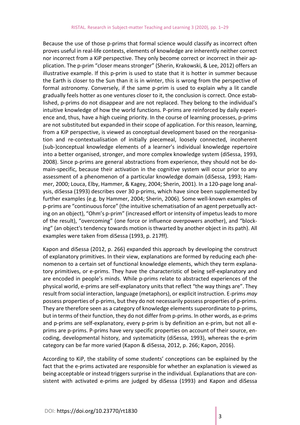Because the use of those p-prims that formal science would classify as incorrect often proves useful in real-life contexts, elements of knowledge are inherently neither correct nor incorrect from a KiP perspective. They only become correct or incorrect in their application. The p-prim "closer means stronger" (Sherin, Krakowski, & Lee, 2012) offers an illustrative example. If this p-prim is used to state that it is hotter in summer because the Earth is closer to the Sun than it is in winter, this is wrong from the perspective of formal astronomy. Conversely, if the same p-prim is used to explain why a lit candle gradually feels hotter as one ventures closer to it, the conclusion is correct. Once established, p-prims do not disappear and are not replaced. They belong to the individual's intuitive knowledge of how the world functions. P-prims are reinforced by daily experience and, thus, have a high cueing priority. In the course of learning processes, p-prims are not substituted but expanded in their scope of application. For this reason, learning, from a KiP perspective, is viewed as conceptual development based on the reorganisation and re-contextualisation of initially piecemeal, loosely connected, incoherent (sub-)conceptual knowledge elements of a learner's individual knowledge repertoire into a better organised, stronger, and more complex knowledge system (diSessa, 1993, 2008). Since p-prims are general abstractions from experience, they should not be domain-specific, because their activation in the cognitive system will occur prior to any assessment of a phenomenon of a particular knowledge domain (diSessa, 1993; Hammer, 2000; Louca, Elby, Hammer, & Kagey, 2004; Sherin, 2001). In a 120-page long analysis, diSessa (1993) describes over 30 p-prims, which have since been supplemented by further examples (e.g. by Hammer, 2004; Sherin, 2006). Some well-known examples of p-prims are "continuous force" (the intuitive schematisation of an agent perpetually acting on an object), "Ohm's p-prim" (increased effort or intensity of impetus leads to more of the result), "overcoming" (one force or influence overpowers another), and "blocking" (an object's tendency towards motion is thwarted by another object in its path). All examples were taken from diSessa (1993, p. 217ff).

Kapon and diSessa (2012, p. 266) expanded this approach by developing the construct of explanatory primitives. In their view, explanations are formed by reducing each phenomenon to a certain set of functional knowledge elements, which they term explanatory primitives, or e-prims. They have the characteristic of being self-explanatory and are encoded in people's minds. While p-prims relate to abstracted experiences of the physical world, e-prims are self-explanatory units that reflect "the way things are". They result from social interaction, language (metaphors), or explicit instruction. E-prims *may* possess properties of p-prims, but they do not necessarily possess properties of p-prims. They are therefore seen as a category of knowledge elements superordinate to p-prims, but in terms of their function, they do not differ from p-prims. In other words, as e-prims and p-prims are self-explanatory, every p-prim is by definition an e-prim, but not all eprims are p-prims. P-prims have very specific properties on account of their source, encoding, developmental history, and systematicity (diSessa, 1993), whereas the e-prim category can be far more varied (Kapon & diSessa, 2012, p. 266; Kapon, 2016).

According to KiP, the stability of some students' conceptions can be explained by the fact that the e-prims activated are responsible for whether an explanation is viewed as being acceptable or instead triggers surprise in the individual. Explanations that are consistent with activated e-prims are judged by diSessa (1993) and Kapon and diSessa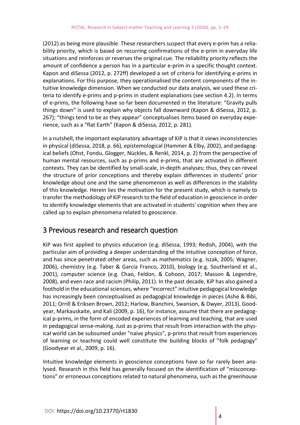(2012) as being more plausible. These researchers suspect that every e-prim has a reliability priority, which is based on recurring confirmations of the e-prim in everyday life situations and reinforces or reverses the original cue. The reliability priority reflects the amount of confidence a person has in a particular e-prim in a specific thought context. Kapon and diSessa (2012, p. 272ff) developed a set of criteria for identifying e-prims in explanations. For this purpose, they operationalised the content components of the intuitive knowledge dimension. When we conducted our data analysis, we used these criteria to identify e-prims and p-prims in student explanations (see section 4.2). In terms of e-prims, the following have so far been documented in the literature: "Gravity pulls things down" is used to explain why objects fall downward (Kapon & diSessa, 2012, p. 267); "things tend to be as they appear" conceptualises items based on everyday experience, such as a "flat Earth" (Kapon & diSessa, 2012, p. 281).

In a nutshell, the important explanatory advantage of KiP is that it views inconsistencies in physical (diSessa, 2018, p. 66), epistemological (Hammer & Elby, 2002), and pedagogical beliefs (Ohst, Fondu, Glogger, Nückles, & Renkl, 2014, p. 2) from the perspective of human mental resources, such as p-prims and e-prims, that are activated in different contexts. They can be identified by small-scale, in-depth analyses; thus, they can reveal the structure of prior conceptions and thereby explain differences in students' prior knowledge about one and the same phenomenon as well as differences in the stability of this knowledge. Herein lies the motivation for the present study, which is namely to transfer the methodology of KiP research to the field of education in geoscience in order to identify knowledge elements that are activated in students' cognition when they are called up to explain phenomena related to geoscience.

# 3 Previous research and research question

KiP was first applied to physics education (e.g. diSessa, 1993; Redish, 2004), with the particular aim of providing a deeper understanding of the intuitive conception of force, and has since penetrated other areas, such as mathematics (e.g. Iszak, 2005; Wagner, 2006), chemistry (e.g. Taber & García Franco, 2010), biology (e.g. Southerland et al., 2001), computer science (e.g. Chao, Feldon, & Cohoon, 2017; Masson & Legendre, 2008), and even race and racism (Philip, 2011). In the past decade, KiP has also gained a foothold in the educational sciences, where "incorrect" intuitive pedagogical knowledge has increasingly been conceptualised as pedagogical knowledge in pieces (Ashe & Bibi, 2011; Orrill & Eriksen Brown, 2012; Harlow, Bianchini, Swanson, & Dwyer, 2013). Goodyear, Markauskaite, and Kali (2009, p. 16), for instance, assume that there are pedagogical p-prims, in the form of encoded experiences of learning and teaching, that are used in pedagogical sense-making. Just as p-prims that result from interaction with the physical world can be subsumed under "naive physics", p-prims that result from experiences of learning or teaching could well constitute the building blocks of "folk pedagogy" (Goodyear et al., 2009, p. 16).

Intuitive knowledge elements in geoscience conceptions have so far rarely been analysed. Research in this field has generally focused on the identification of "misconceptions" or erroneous conceptions related to natural phenomena, such as the greenhouse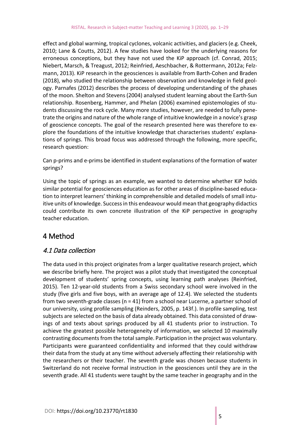effect and global warming, tropical cyclones, volcanic activities, and glaciers (e.g. Cheek, 2010; Lane & Coutts, 2012). A few studies have looked for the underlying reasons for erroneous conceptions, but they have not used the KiP approach (cf. Conrad, 2015; Niebert, Marsch, & Treagust, 2012; Reinfried, Aeschbacher, & Rottermann, 2012a; Felzmann, 2013). KiP research in the geosciences is available from Barth-Cohen and Braden (2018), who studied the relationship between observation and knowledge in field geology. Parnafes (2012) describes the process of developing understanding of the phases of the moon. Shelton and Stevens (2004) analysed student learning about the Earth-Sun relationship. Rosenberg, Hammer, and Phelan (2006) examined epistemologies of students discussing the rock cycle. Many more studies, however, are needed to fully penetrate the origins and nature of the whole range of intuitive knowledge in a novice's grasp of geoscience concepts. The goal of the research presented here was therefore to explore the foundations of the intuitive knowledge that characterises students' explanations of springs. This broad focus was addressed through the following, more specific, research question:

Can p-prims and e-prims be identified in student explanations of the formation of water springs?

Using the topic of springs as an example, we wanted to determine whether KiP holds similar potential for geosciences education as for other areas of discipline-based education to interpret learners' thinking in comprehensible and detailed models of small intuitive units of knowledge. Success in this endeavour would mean that geography didactics could contribute its own concrete illustration of the KiP perspective in geography teacher education.

# 4 Method

## 4.1 Data collection

The data used in this project originates from a larger qualitative research project, which we describe briefly here. The project was a pilot study that investigated the conceptual development of students' spring concepts, using learning path analyses (Reinfried, 2015). Ten 12-year-old students from a Swiss secondary school were involved in the study (five girls and five boys, with an average age of 12.4). We selected the students from two seventh-grade classes (n = 41) from a school near Lucerne, a partner school of our university, using profile sampling (Reinders, 2005, p. 143f.). In profile sampling, test subjects are selected on the basis of data already obtained. This data consisted of drawings of and texts about springs produced by all 41 students prior to instruction. To achieve the greatest possible heterogeneity of information, we selected 10 maximally contrasting documents from the total sample. Participation in the project was voluntary. Participants were guaranteed confidentiality and informed that they could withdraw their data from the study at any time without adversely affecting their relationship with the researchers or their teacher. The seventh grade was chosen because students in Switzerland do not receive formal instruction in the geosciences until they are in the seventh grade. All 41 students were taught by the same teacher in geography and in the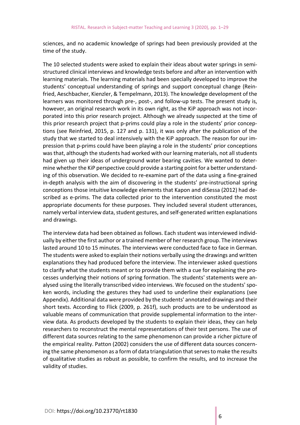sciences, and no academic knowledge of springs had been previously provided at the time of the study.

The 10 selected students were asked to explain their ideas about water springs in semistructured clinical interviews and knowledge tests before and after an intervention with learning materials. The learning materials had been specially developed to improve the students' conceptual understanding of springs and support conceptual change (Reinfried, Aeschbacher, Kienzler, & Tempelmann, 2013). The knowledge development of the learners was monitored through pre-, post-, and follow-up tests. The present study is, however, an original research work in its own right, as the KiP approach was not incorporated into this prior research project. Although we already suspected at the time of this prior research project that p-prims could play a role in the students' prior conceptions (see Reinfried, 2015, p. 127 and p. 131), it was only after the publication of the study that we started to deal intensively with the KiP approach. The reason for our impression that p-prims could have been playing a role in the students' prior conceptions was that, although the students had worked with our learning materials, not all students had given up their ideas of underground water bearing cavities. We wanted to determine whether the KiP perspective could provide a starting point for a better understanding of this observation. We decided to re-examine part of the data using a fine-grained in-depth analysis with the aim of discovering in the students' pre-instructional spring conceptions those intuitive knowledge elements that Kapon and diSessa (2012) had described as e-prims. The data collected prior to the intervention constituted the most appropriate documents for these purposes. They included several student utterances, namely verbal interview data, student gestures, and self-generated written explanations and drawings.

The interview data had been obtained as follows. Each student was interviewed individually by either the first author or a trained member of her research group. The interviews lasted around 10 to 15 minutes. The interviews were conducted face to face in German. The students were asked to explain their notions verbally using the drawings and written explanations they had produced before the interview. The interviewer asked questions to clarify what the students meant or to provide them with a cue for explaining the processes underlying their notions of spring formation. The students' statements were analysed using the literally transcribed video interviews. We focused on the students' spoken words, including the gestures they had used to underline their explanations (see Appendix). Additional data were provided by the students' annotated drawings and their short texts. According to Flick (2009, p. 261f), such products are to be understood as valuable means of communication that provide supplemental information to the interview data. As products developed by the students to explain their ideas, they can help researchers to reconstruct the mental representations of their test persons. The use of different data sources relating to the same phenomenon can provide a richer picture of the empirical reality. Patton (2002) considers the use of different data sources concerning the same phenomenon as a form of data triangulation that serves to make the results of qualitative studies as robust as possible, to confirm the results, and to increase the validity of studies.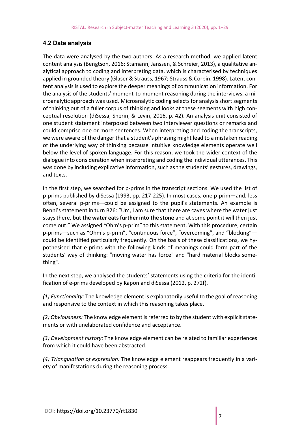#### **4.2 Data analysis**

The data were analysed by the two authors. As a research method, we applied latent content analysis (Bengtson, 2016; Stamann, Janssen, & Schreier, 2013), a qualitative analytical approach to coding and interpreting data, which is characterised by techniques applied in grounded theory (Glaser & Strauss, 1967; Strauss & Corbin, 1998). Latent content analysis is used to explore the deeper meanings of communication information. For the analysis of the students' moment-to-moment reasoning during the interviews, a microanalytic approach was used. Microanalytic coding selects for analysis short segments of thinking out of a fuller corpus of thinking and looks at these segments with high conceptual resolution (diSessa, Sherin, & Levin, 2016, p. 42). An analysis unit consisted of one student statement interposed between two interviewer questions or remarks and could comprise one or more sentences. When interpreting and coding the transcripts, we were aware of the danger that a student's phrasing might lead to a mistaken reading of the underlying way of thinking because intuitive knowledge elements operate well below the level of spoken language. For this reason, we took the wider context of the dialogue into consideration when interpreting and coding the individual utterances. This was done by including explicative information, such as the students' gestures, drawings, and texts.

In the first step, we searched for p-prims in the transcript sections. We used the list of p-prims published by diSessa (1993, pp. 217-225). In most cases, one p-prim—and, less often, several p-prims—could be assigned to the pupil's statements. An example is Benni's statement in turn B26: "Um, I am sure that there are caves where the water just stays there, **but the water eats further into the stone** and at some point it will then just come out." We assigned *"*Ohm's p-prim" to this statement. With this procedure, certain p-prims—such as "Ohm's p-prim", "continuous force", "overcoming", and "blocking" could be identified particularly frequently. On the basis of these classifications, we hypothesised that e-prims with the following kinds of meanings could form part of the students' way of thinking: "moving water has force" and "hard material blocks something".

In the next step, we analysed the students' statements using the criteria for the identification of e-prims developed by Kapon and diSessa (2012, p. 272f).

*(1) Functionality:* The knowledge element is explanatorily useful to the goal of reasoning and responsive to the context in which this reasoning takes place.

*(2) Obviousness:* The knowledge element is referred to by the student with explicit statements or with unelaborated confidence and acceptance.

*(3) Development history:* The knowledge element can be related to familiar experiences from which it could have been abstracted.

*(4) Triangulation of expression:* The knowledge element reappears frequently in a variety of manifestations during the reasoning process.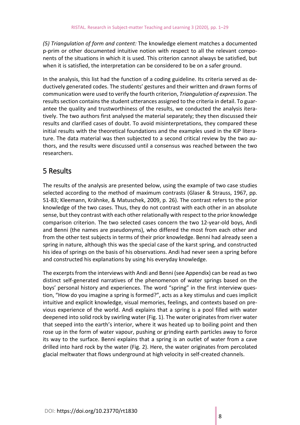*(5) Triangulation of form and content:* The knowledge element matches a documented p-prim or other documented intuitive notion with respect to all the relevant components of the situations in which it is used. This criterion cannot always be satisfied, but when it is satisfied, the interpretation can be considered to be on a safer ground.

In the analysis, this list had the function of a coding guideline. Its criteria served as deductively generated codes. The students' gestures and their written and drawn forms of communication were used to verify the fourth criterion, *Triangulation of expression*. The results section contains the student utterances assigned to the criteria in detail. To guarantee the quality and trustworthiness of the results, we conducted the analysis iteratively. The two authors first analysed the material separately; they then discussed their results and clarified cases of doubt. To avoid misinterpretations, they compared these initial results with the theoretical foundations and the examples used in the KiP literature. The data material was then subjected to a second critical review by the two authors, and the results were discussed until a consensus was reached between the two researchers.

# 5 Results

The results of the analysis are presented below, using the example of two case studies selected according to the method of maximum contrasts (Glaser & Strauss, 1967, pp. 51-83; Kleemann, Krähnke, & Matuschek, 2009, p. 26). The contrast refers to the prior knowledge of the two cases. Thus, they do not contrast with each other in an absolute sense, but they contrast with each other relationally with respect to the prior knowledge comparison criterion. The two selected cases concern the two 12-year-old boys, Andi and Benni (the names are pseudonyms), who differed the most from each other and from the other test subjects in terms of their prior knowledge. Benni had already seen a spring in nature, although this was the special case of the karst spring, and constructed his idea of springs on the basis of his observations. Andi had never seen a spring before and constructed his explanations by using his everyday knowledge.

The excerpts from the interviews with Andi and Benni (see Appendix) can be read as two distinct self-generated narratives of the phenomenon of water springs based on the boys' personal history and experiences. The word "spring" in the first interview question, "How do you imagine a spring is formed?", acts as a key stimulus and cues implicit intuitive and explicit knowledge, visual memories, feelings, and contexts based on previous experience of the world. Andi explains that a spring is a pool filled with water deepened into solid rock by swirling water (Fig. 1). The water originates from river water that seeped into the earth's interior, where it was heated up to boiling point and then rose up in the form of water vapour, pushing or grinding earth particles away to force its way to the surface. Benni explains that a spring is an outlet of water from a cave drilled into hard rock by the water (Fig. 2). Here, the water originates from percolated glacial meltwater that flows underground at high velocity in self-created channels.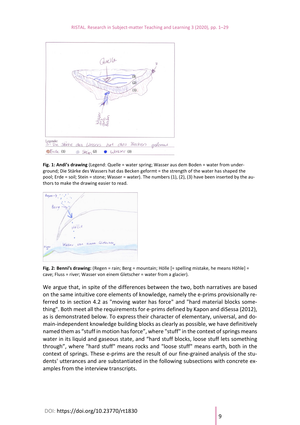

**Fig. 1: Andi's drawing** (Legend: Quelle = water spring; Wasser aus dem Boden = water from underground; Die Stärke des Wassers hat das Becken geformt = the strength of the water has shaped the pool; Erde = soil; Stein = stone; Wasser = water). The numbers (1), (2), (3) have been inserted by the authors to make the drawing easier to read.



**Fig. 2: Benni's drawing:** (Regen = rain; Berg = mountain; Hölle [= spelling mistake, he means Höhle] = cave; Fluss = river; Wasser von einem Gletscher = water from a glacier).

We argue that, in spite of the differences between the two, both narratives are based on the same intuitive core elements of knowledge, namely the e-prims provisionally referred to in section 4.2 as "moving water has force" and "hard material blocks something". Both meet all the requirements for e-prims defined by Kapon and diSessa (2012), as is demonstrated below. To express their character of elementary, universal, and domain-independent knowledge building blocks as clearly as possible, we have definitively named them as "stuff in motion has force", where "stuff" in the context of springs means water in its liquid and gaseous state, and "hard stuff blocks, loose stuff lets something through", where "hard stuff" means rocks and "loose stuff" means earth, both in the context of springs. These e-prims are the result of our fine-grained analysis of the students' utterances and are substantiated in the following subsections with concrete examples from the interview transcripts.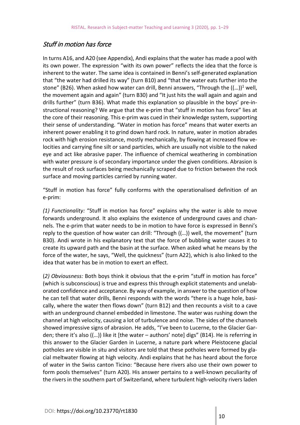#### Stuff in motion has force

In turns A16, and A20 (see Appendix), Andi explains that the water has made a pool with its own power. The expression "with its own power" reflects the idea that the force is inherent to the water. The same idea is contained in Benni's self-generated explanation that "the water had drilled its way" (turn B10) and "that the water eats further into the stone" (B26). When asked how water can drill, Benni answers, "Through the  $((...)$ <sup>1</sup> well, the movement again and again" (turn B30) and "It just hits the wall again and again and drills further" (turn B36). What made this explanation so plausible in the boys' pre-instructional reasoning? We argue that the e-prim that "stuff in motion has force" lies at the core of their reasoning. This e-prim was cued in their knowledge system, supporting their sense of understanding. "Water in motion has force" means that water exerts an inherent power enabling it to grind down hard rock. In nature, water in motion abrades rock with high erosion resistance, mostly mechanically, by flowing at increased flow velocities and carrying fine silt or sand particles, which are usually not visible to the naked eye and act like abrasive paper. The influence of chemical weathering in combination with water pressure is of secondary importance under the given conditions. Abrasion is the result of rock surfaces being mechanically scraped due to friction between the rock surface and moving particles carried by running water.

"Stuff in motion has force" fully conforms with the operationalised definition of an e-prim:

*(1) Functionality:* "Stuff in motion has force" explains why the water is able to move forwards underground. It also explains the existence of underground caves and channels. The e-prim that water needs to be in motion to have force is expressed in Benni's reply to the question of how water can drill: "Through ((…)) well, the movement" (turn B30). Andi wrote in his explanatory text that the force of bubbling water causes it to create its upward path and the basin at the surface. When asked what he means by the force of the water, he says, "Well, the quickness" (turn A22), which is also linked to the idea that water has be in motion to exert an effect.

(*2) Obviousness:* Both boys think it obvious that the e-prim "stuff in motion has force" (which is subconscious) is true and express this through explicit statements and unelaborated confidence and acceptance. By way of example, in answer to the question of how he can tell that water drills, Benni responds with the words "there is a huge hole, basically, where the water then flows down" (turn B12) and then recounts a visit to a cave with an underground channel embedded in limestone. The water was rushing down the channel at high velocity, causing a lot of turbulence and noise. The sides of the channels showed impressive signs of abrasion. He adds, "I've been to Lucerne, to the Glacier Garden; there it's also ((…)) like it [the water – authors' note] digs" (B14). He is referring in this answer to the Glacier Garden in Lucerne, a nature park where Pleistocene glacial potholes are visible in situ and visitors are told that these potholes were formed by glacial meltwater flowing at high velocity. Andi explains that he has heard about the force of water in the Swiss canton Ticino: "Because here rivers also use their own power to form pools themselves" (turn A20). His answer pertains to a well-known peculiarity of the rivers in the southern part of Switzerland, where turbulent high-velocity rivers laden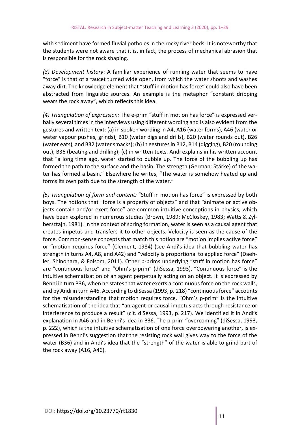with sediment have formed fluvial potholes in the rocky river beds. It is noteworthy that the students were not aware that it is, in fact, the process of mechanical abrasion that is responsible for the rock shaping.

*(3) Development history*: A familiar experience of running water that seems to have "force" is that of a faucet turned wide open, from which the water shoots and washes away dirt. The knowledge element that "stuff in motion has force" could also have been abstracted from linguistic sources. An example is the metaphor "constant dripping wears the rock away", which reflects this idea.

*(4) Triangulation of expression:* The e-prim "stuff in motion has force" is expressed verbally several times in the interviews using different wording and is also evident from the gestures and written text: (a) in spoken wording in A4, A16 (water forms), A46 (water or water vapour pushes, grinds), B10 (water digs and drills), B20 (water rounds out), B26 (water eats), and B32 (water smacks); (b) in gestures in B12, B14 (digging), B20 (rounding out), B36 (beating and drilling); (c) in written texts. Andi explains in his written account that "a long time ago, water started to bubble up. The force of the bubbling up has formed the path to the surface and the basin. The strength (German: Stärke) of the water has formed a basin." Elsewhere he writes, "The water is somehow heated up and forms its own path due to the strength of the water."

*(5) Triangulation of form and content:* "Stuff in motion has force" is expressed by both boys. The notions that "force is a property of objects" and that "animate or active objects contain and/or exert force" are common intuitive conceptions in physics, which have been explored in numerous studies (Brown, 1989; McCloskey, 1983; Watts & Zylbersztajn, 1981). In the context of spring formation, water is seen as a causal agent that creates impetus and transfers it to other objects. Velocity is seen as the cause of the force. Common-sense concepts that match this notion are "motion implies active force" or "motion requires force" (Clement, 1984) (see Andi's idea that bubbling water has strength in turns A4, A8, and A42) and "velocity is proportional to applied force" (Daehler, Shinohara, & Folsom, 2011). Other p-prims underlying "stuff in motion has force" are "continuous force" and "Ohm's p-prim" (diSessa, 1993). "Continuous force" is the intuitive schematisation of an agent perpetually acting on an object. It is expressed by Benni in turn B36, when he states that water exerts a continuous force on the rock walls, and by Andi in turn A46. According to diSessa (1993, p. 218) "continuous force" accounts for the misunderstanding that motion requires force. "Ohm's p-prim" is the intuitive schematisation of the idea that "an agent or causal impetus acts through resistance or interference to produce a result" (cit. diSessa, 1993, p. 217). We identified it in Andi's explanation in A46 and in Benni's idea in B36. The p-prim "overcoming" (diSessa, 1993, p. 222), which is the intuitive schematisation of one force overpowering another, is expressed in Benni's suggestion that the resisting rock wall gives way to the force of the water (B36) and in Andi's idea that the "strength" of the water is able to grind part of the rock away (A16, A46).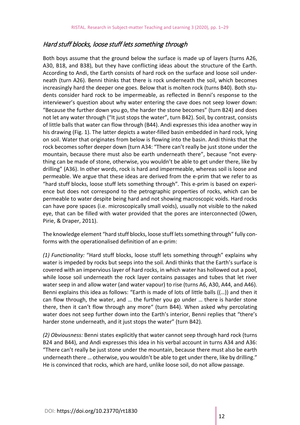#### Hard stuff blocks, loose stuff lets something through

Both boys assume that the ground below the surface is made up of layers (turns A26, A30, B18, and B38), but they have conflicting ideas about the structure of the Earth. According to Andi, the Earth consists of hard rock on the surface and loose soil underneath (turn A26). Benni thinks that there is rock underneath the soil, which becomes increasingly hard the deeper one goes. Below that is molten rock (turns B40). Both students consider hard rock to be impermeable, as reflected in Benni's response to the interviewer's question about why water entering the cave does not seep lower down: "Because the further down you go, the harder the stone becomes" (turn B24) and does not let any water through ("It just stops the water", turn B42). Soil, by contrast, consists of little balls that water can flow through (B44). Andi expresses this idea another way in his drawing (Fig. 1). The latter depicts a water-filled basin embedded in hard rock, lying on soil. Water that originates from below is flowing into the basin. Andi thinks that the rock becomes softer deeper down (turn A34: "There can't really be just stone under the mountain, because there must also be earth underneath there", because "not everything can be made of stone, otherwise, you wouldn't be able to get under there, like by drilling" (A36). In other words, rock is hard and impermeable, whereas soil is loose and permeable. We argue that these ideas are derived from the e-prim that we refer to as "hard stuff blocks, loose stuff lets something through"*.* This e-prim is based on experience but does not correspond to the petrographic properties of rocks, which can be permeable to water despite being hard and not showing macroscopic voids. Hard rocks can have pore spaces (i.e. microscopically small voids), usually not visible to the naked eye, that can be filled with water provided that the pores are interconnected (Owen, Pirie, & Draper, 2011).

The knowledge element "hard stuff blocks, loose stuff lets something through" fully conforms with the operationalised definition of an e-prim:

*(1) Functionality:* "Hard stuff blocks, loose stuff lets something through" explains why water is impeded by rocks but seeps into the soil. Andi thinks that the Earth's surface is covered with an impervious layer of hard rocks, in which water has hollowed out a pool, while loose soil underneath the rock layer contains passages and tubes that let river water seep in and allow water (and water vapour) to rise (turns A6, A30, A44, and A46). Benni explains this idea as follows: "Earth is made of lots of little balls ((…)) and then it can flow through, the water, and … the further you go under … there is harder stone there, then it can't flow through any more" (turn B44). When asked why percolating water does not seep further down into the Earth's interior, Benni replies that "there's harder stone underneath, and it just stops the water" (turn B42).

*(2) Obviousness:* Benni states explicitly that water cannot seep through hard rock (turns B24 and B44), and Andi expresses this idea in his verbal account in turns A34 and A36: "There can't really be just stone under the mountain, because there must also be earth underneath there … otherwise, you wouldn't be able to get under there, like by drilling." He is convinced that rocks, which are hard, unlike loose soil, do not allow passage.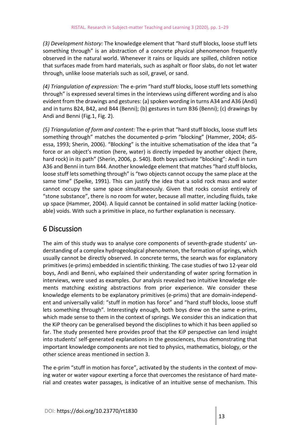*(3) Development history:* The knowledge element that "hard stuff blocks, loose stuff lets something through" is an abstraction of a concrete physical phenomenon frequently observed in the natural world. Whenever it rains or liquids are spilled, children notice that surfaces made from hard materials, such as asphalt or floor slabs, do not let water through, unlike loose materials such as soil, gravel, or sand.

*(4) Triangulation of expression:* The e-prim "hard stuff blocks, loose stuff lets something through" is expressed several times in the interviews using different wording and is also evident from the drawings and gestures: (a) spoken wording in turns A34 and A36 (Andi) and in turns B24, B42, and B44 (Benni); (b) gestures in turn B36 (Benni); (c) drawings by Andi and Benni (Fig.1, Fig. 2).

*(5) Triangulation of form and content:* The e-prim that "hard stuff blocks, loose stuff lets something through" matches the documented p-prim "blocking" (Hammer, 2004; diSessa, 1993; Sherin, 2006). "Blocking" is the intuitive schematisation of the idea that "a force or an object's motion (here, water) is directly impeded by another object (here, hard rock) in its path" (Sherin, 2006, p. 540). Both boys activate "blocking": Andi in turn A36 and Benni in turn B44. Another knowledge element that matches "hard stuff blocks, loose stuff lets something through" is "two objects cannot occupy the same place at the same time" (Spelke, 1991). This can justify the idea that a solid rock mass and water cannot occupy the same space simultaneously. Given that rocks consist entirely of "stone substance", there is no room for water, because all matter, including fluids, take up space (Hammer, 2004). A liquid cannot be contained in solid matter lacking (noticeable) voids. With such a primitive in place, no further explanation is necessary.

# 6 Discussion

The aim of this study was to analyse core components of seventh-grade students' understanding of a complex hydrogeological phenomenon, the formation of springs, which usually cannot be directly observed. In concrete terms, the search was for explanatory primitives (e-prims) embedded in scientific thinking. The case studies of two 12-year old boys, Andi and Benni, who explained their understanding of water spring formation in interviews, were used as examples. Our analysis revealed two intuitive knowledge elements matching existing abstractions from prior experience. We consider these knowledge elements to be explanatory primitives (e-prims) that are domain-independent and universally valid: "stuff in motion has force" and "hard stuff blocks, loose stuff lets something through"*.* Interestingly enough, both boys drew on the same e-prims, which made sense to them in the context of springs. We consider this an indication that the KiP theory can be generalised beyond the disciplines to which it has been applied so far. The study presented here provides proof that the KiP perspective can lend insight into students' self-generated explanations in the geosciences, thus demonstrating that important knowledge components are not tied to physics, mathematics, biology, or the other science areas mentioned in section 3.

The e-prim "stuff in motion has force", activated by the students in the context of moving water or water vapour exerting a force that overcomes the resistance of hard material and creates water passages, is indicative of an intuitive sense of mechanism. This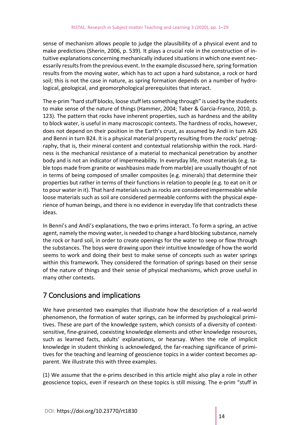sense of mechanism allows people to judge the plausibility of a physical event and to make predictions (Sherin, 2006, p. 539). It plays a crucial role in the construction of intuitive explanations concerning mechanically induced situations in which one event necessarily results from the previous event. In the example discussed here, spring formation results from the moving water, which has to act upon a hard substance, a rock or hard soil; this is not the case in nature, as spring formation depends on a number of hydrological, geological, and geomorphological prerequisites that interact.

The e-prim "hard stuff blocks, loose stuff lets something through" is used by the students to make sense of the nature of things (Hammer, 2004; Taber & Garcia-Franco, 2010, p. 123). The pattern that rocks have inherent properties, such as hardness and the ability to block water, is useful in many macroscopic contexts. The hardness of rocks, however, does not depend on their position in the Earth's crust, as assumed by Andi in turn A26 and Benni in turn B24. It is a physical material property resulting from the rocks' petrography, that is, their mineral content and contextual relationship within the rock. Hardness is the mechanical resistance of a material to mechanical penetration by another body and is not an indicator of impermeability. In everyday life, most materials (e.g. table tops made from granite or washbasins made from marble) are usually thought of not in terms of being composed of smaller composites (e.g. minerals) that determine their properties but rather in terms of their functions in relation to people (e.g. to eat on it or to pour water in it). That hard materials such as rocks are considered impermeable while loose materials such as soil are considered permeable conforms with the physical experience of human beings, and there is no evidence in everyday life that contradicts these ideas.

In Benni's and Andi's explanations, the two e-prims interact. To form a spring, an active agent, namely the moving water, is needed to change a hard blocking substance, namely the rock or hard soil, in order to create openings for the water to seep or flow through the substances. The boys were drawing upon their intuitive knowledge of how the world seems to work and doing their best to make sense of concepts such as water springs within this framework. They considered the formation of springs based on their sense of the nature of things and their sense of physical mechanisms, which prove useful in many other contexts.

# 7 Conclusions and implications

We have presented two examples that illustrate how the description of a real-world phenomenon, the formation of water springs, can be informed by psychological primitives. These are part of the knowledge system, which consists of a diversity of contextsensitive, fine-grained, coexisting knowledge elements and other knowledge resources, such as learned facts, adults' explanations, or hearsay. When the role of implicit knowledge in student thinking is acknowledged, the far-reaching significance of primitives for the teaching and learning of geoscience topics in a wider context becomes apparent. We illustrate this with three examples.

(1) We assume that the e-prims described in this article might also play a role in other geoscience topics, even if research on these topics is still missing. The e-prim "stuff in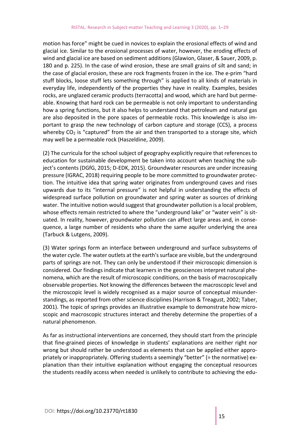motion has force" might be cued in novices to explain the erosional effects of wind and glacial ice. Similar to the erosional processes of water, however, the eroding effects of wind and glacial ice are based on sediment additions (Glawion, Glaser, & Sauer, 2009, p. 180 and p. 225). In the case of wind erosion, these are small grains of silt and sand; in the case of glacial erosion, these are rock fragments frozen in the ice. The e-prim "hard stuff blocks, loose stuff lets something through" is applied to all kinds of materials in everyday life, independently of the properties they have in reality. Examples, besides rocks, are unglazed ceramic products (terracotta) and wood, which are hard but permeable. Knowing that hard rock can be permeable is not only important to understanding how a spring functions, but it also helps to understand that petroleum and natural gas are also deposited in the pore spaces of permeable rocks. This knowledge is also important to grasp the new technology of carbon capture and storage (CCS), a process whereby  $CO<sub>2</sub>$  is "captured" from the air and then transported to a storage site, which may well be a permeable rock (Haszeldine, 2009).

(2) The curricula for the school subject of geography explicitly require that references to education for sustainable development be taken into account when teaching the subject's contents (DGfG, 2015; D-EDK, 2015). Groundwater resources are under increasing pressure (IGRAC, 2018) requiring people to be more committed to groundwater protection. The intuitive idea that spring water originates from underground caves and rises upwards due to its "internal pressure" is not helpful in understanding the effects of widespread surface pollution on groundwater and spring water as sources of drinking water. The intuitive notion would suggest that groundwater pollution is a local problem, whose effects remain restricted to where the "underground lake" or "water vein" is situated. In reality, however, groundwater pollution can affect large areas and, in consequence, a large number of residents who share the same aquifer underlying the area (Tarbuck & Lutgens, 2009).

(3) Water springs form an interface between underground and surface subsystems of the water cycle. The water outlets at the earth's surface are visible, but the underground parts of springs are not. They can only be understood if their microscopic dimension is considered. Our findings indicate that learners in the geosciences interpret natural phenomena, which are the result of microscopic conditions, on the basis of macroscopically observable properties. Not knowing the differences between the macroscopic level and the microscopic level is widely recognised as a major source of conceptual misunderstandings, as reported from other science disciplines (Harrison & Treagust, 2002; Taber, 2001). The topic of springs provides an illustrative example to demonstrate how microscopic and macroscopic structures interact and thereby determine the properties of a natural phenomenon.

As far as instructional interventions are concerned, they should start from the principle that fine-grained pieces of knowledge in students' explanations are neither right nor wrong but should rather be understood as elements that can be applied either appropriately or inappropriately. Offering students a seemingly "better" (= the normative) explanation than their intuitive explanation without engaging the conceptual resources the students readily access when needed is unlikely to contribute to achieving the edu-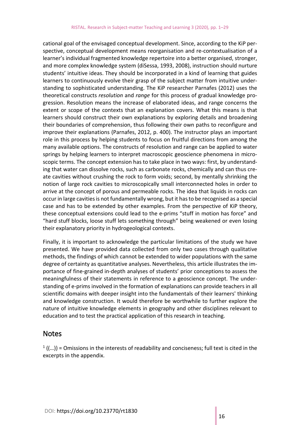cational goal of the envisaged conceptual development. Since, according to the KiP perspective, conceptual development means reorganisation and re-contextualisation of a learner's individual fragmented knowledge repertoire into a better organised, stronger, and more complex knowledge system (diSessa, 1993, 2008), instruction should nurture students' intuitive ideas. They should be incorporated in a kind of learning that guides learners to continuously evolve their grasp of the subject matter from intuitive understanding to sophisticated understanding. The KiP researcher Parnafes (2012) uses the theoretical constructs *resolution* and *range* for this process of gradual knowledge progression. Resolution means the increase of elaborated ideas, and range concerns the extent or scope of the contexts that an explanation covers. What this means is that learners should construct their own explanations by exploring details and broadening their boundaries of comprehension, thus following their own paths to reconfigure and improve their explanations (Parnafes, 2012, p. 400). The instructor plays an important role in this process by helping students to focus on fruitful directions from among the many available options. The constructs of resolution and range can be applied to water springs by helping learners to interpret macroscopic geoscience phenomena in microscopic terms. The concept extension has to take place in two ways: first, by understanding that water can dissolve rocks, such as carbonate rocks, chemically and can thus create cavities without crushing the rock to form voids; second, by mentally shrinking the notion of large rock cavities to microscopically small interconnected holes in order to arrive at the concept of porous and permeable rocks. The idea that liquids in rocks can occur in large cavities is not fundamentally wrong, but it has to be recognised as a special case and has to be extended by other examples. From the perspective of KiP theory, these conceptual extensions could lead to the e-prims "stuff in motion has force" and "hard stuff blocks, loose stuff lets something through" being weakened or even losing their explanatory priority in hydrogeological contexts.

Finally, it is important to acknowledge the particular limitations of the study we have presented. We have provided data collected from only two cases through qualitative methods, the findings of which cannot be extended to wider populations with the same degree of certainty as quantitative analyses. Nevertheless, this article illustrates the importance of fine-grained in-depth analyses of students' prior conceptions to assess the meaningfulness of their statements in reference to a geoscience concept. The understanding of e-prims involved in the formation of explanations can provide teachers in all scientific domains with deeper insight into the fundamentals of their learners' thinking and knowledge construction. It would therefore be worthwhile to further explore the nature of intuitive knowledge elements in geography and other disciplines relevant to education and to test the practical application of this research in teaching.

#### Notes

 $1$  ((...)) = Omissions in the interests of readability and conciseness; full text is cited in the excerpts in the appendix.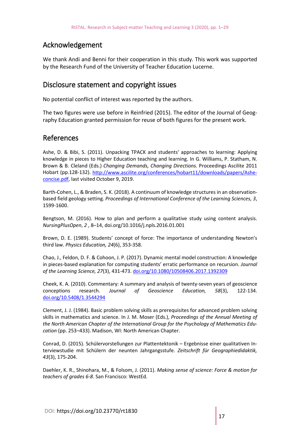## Acknowledgement

We thank Andi and Benni for their cooperation in this study. This work was supported by the Research Fund of the University of Teacher Education Lucerne.

### Disclosure statement and copyright issues

No potential conflict of interest was reported by the authors.

The two figures were use before in Reinfried (2015). The editor of the Journal of Geography Education granted permission for reuse of both figures for the present work.

#### References

Ashe, D. & Bibi, S. (2011). Unpacking TPACK and students' approaches to learning: Applying knowledge in pieces to Higher Education teaching and learning. In G. Williams, P. Statham, N. Brown & B. Cleland (Eds.) *Changing Demands, Changing Directions.* Proceedings Ascilite 2011 Hobart (pp.128-132). [http://www.ascilite.org/conferences/hobart11/downloads/papers/Ashe](http://www.ascilite.org/conferences/hobart11/downloads/papers/Ashe-concise.pdf)[concise.pdf,](http://www.ascilite.org/conferences/hobart11/downloads/papers/Ashe-concise.pdf) last visited October 9, 2019.

Barth-Cohen, L., & Braden, S. K. (2018). A continuum of knowledge structures in an observationbased field geology setting. *Proceedings of International Conference of the Learning Sciences, 3*, 1599-1600.

Bengtson, M. (2016). How to plan and perform a qualitative study using content analysis. *NursingPlusOpen*, *2* , 8–14, doi.org/10.1016/j.npls.2016.01.001

Brown, D. E. (1989). Students' concept of force: The importance of understanding Newton's third law. *Physics Education, 24*(6), 353-358.

Chao, J., Feldon, D. F. & Cohoon, J. P. (2017). Dynamic mental model construction: A knowledge in pieces-based explanation for computing students' erratic performance on recursion. *Journal of the Learning Science, 27*(3), 431-473[. doi.org/10.1080/10508406.2017.1392309](https://doi.org/10.1080/10508406.2017.1392309)

Cheek, K. A. (2010). Commentary: A summary and analysis of twenty-seven years of geoscience conceptions research. *Journal of Geoscience Education, 58*(3), 122-134. [doi.org/10.5408/1.3544294](https://doi.org/10.5408/1.3544294)

Clement, J. J. (1984). Basic problem solving skills as prerequisites for advanced problem solving skills in mathematics and science. In J. M. Moser (Eds.), *Proceedings of the Annual Meeting of the North American Chapter of the International Group for the Psychology of Mathematics Education* (pp. 253–433). Madison, WI: North American Chapter.

Conrad, D. (2015). Schülervorstellungen zur Plattentektonik – Ergebnisse einer qualitativen Interviewstudie mit Schülern der neunten Jahrgangsstufe. *Zeitschrift für Geographiedidaktik, 43*(3), 175-204.

Daehler, K. R., Shinohara, M., & Folsom, J. (2011). *Making sense of science: Force & motion for teachers of grades 6-8*. San Francisco: WestEd.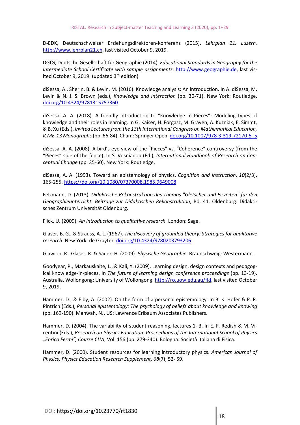D-EDK, Deutschschweizer Erziehungsdirektoren-Konferenz (2015). *Lehrplan 21. Luzern.* http:/[/www.lehrplan21.ch,](http://www.lehrplan21.ch/) last visited October 9, 2019.

DGfG, Deutsche Gesellschaft für Geographie (2014). *Educational Standards in Geography for the Intermediate School Certificate with sample assignments.* [http://www.geographie.de,](http://www.geographie.de/) last visited October 9, 2019. (updated 3<sup>rd</sup> edition)

diSessa, A., Sherin, B. & Levin, M. (2016). Knowledge analysis: An introduction. In A. diSessa, M. Levin & N. J. S. Brown (eds.), *Knowledge and Interaction* (pp. 30-71). New York: Routledge. [doi.org/10.4324/9781315757360](https://doi.org/10.4324/9781315757360)

diSessa, A. A. (2018). A friendly introduction to "Knowledge in Pieces": Modeling types of knowledge and their roles in learning. In G. Kaiser, H. Forgasz, M. Graven, A. Kuzniak, E. Simmt, & B. Xu (Eds.), *Invited Lectures from the 13th International Congress on Mathematical Education, ICME-13 Monographs*(pp. 66-84). Cham: Springer Open. [doi.org/10.1007/978-3-319-72170-5\\_5](https://doi.org/10.1007/978-3-319-72170-5_5)

diSessa, A. A. (2008). A bird's-eye view of the "Pieces" vs. "Coherence" controversy (from the "Pieces" side of the fence). In S. Vosniadou (Ed.), *International Handbook of Research on Conceptual Change* (pp. 35-60). New York: Routledge.

diSessa, A. A. (1993). Toward an epistemology of physics. *Cognition and Instruction*, *10*(2/3), 165-255. <https://doi.org/10.1080/07370008.1985.9649008>

Felzmann, D. (2013). *Didaktische Rekonstruktion des Themas "Gletscher und Eiszeiten" für den Geographieunterricht. Beiträge zur Didaktischen Rekonstruktion*, Bd. 41. Oldenburg: Didaktisches Zentrum Universität Oldenburg.

Flick, U. (2009). *An introduction to qualitative research.* London: Sage.

Glaser, B. G., & Strauss, A. L. (1967). *The discovery of grounded theory: Strategies for qualitative research.* New York: de Gruyter[. doi.org/10.4324/9780203793206](https://doi.org/10.4324/9780203793206)

Glawion, R., Glaser, R. & Sauer, H. (2009). *Physische Geographie*. Braunschweig: Westermann.

Goodyear, P., Markauskaite, L., & Kali, Y. (2009). Learning design, design contexts and pedagogical knowledge-in-pieces. In *The future of learning design conference proceedings* (pp. 13-19). Australia, Wollongong: University of Wollongong[. http://ro.uow.edu.au/fld,](http://ro.uow.edu.au/fld) last visited October 9, 2019.

Hammer, D., & Elby, A. (2002). On the form of a personal epistemology. In B. K. Hofer & P. R. Pintrich (Eds.), *Personal epistemology: The psychology of beliefs about knowledge and knowing* (pp. 169-190). Mahwah, NJ, US: Lawrence Erlbaum Associates Publishers.

Hammer, D. (2004). The variability of student reasoning, lectures 1- 3. In E. F. Redish & M. Vicentini (Eds.), *Research on Physics Education. Proceedings of the International School of Physics "Enrico Fermi", Course CLVI*, Vol. 156 (pp. 279-340). Bologna: Società Italiana di Fisica.

Hammer, D. (2000). Student resources for learning introductory physics. *American Journal of Physics, Physics Education Research Supplement, 68*(7), 52- 59.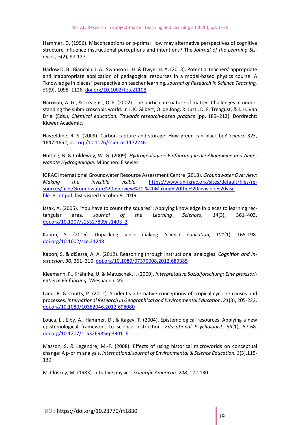Hammer, D. (1996). Misconceptions or p-prims: How may alternative perspectives of cognitive structure influence instructional perceptions and intentions? The *Journal of the Learning Sciences, 5*(2), 97-127.

Harlow D. B., Bianchini J. A., Swanson L. H. & Dwyer H. A. (2013). Potential teachers' appropriate and inappropriate application of pedagogical resources in a model-based physics course: A "knowledge in pieces" perspective on teacher learning. *Journal of Research in Science Teaching, 50*(9), 1098–1126. doi.org/10.1002/tea.21108

Harrison, A. G., & Treagust, D. F. (2002). The particulate nature of matter: Challenges in understanding the submicroscopic world. In J. K. Gilbert, O. de Jong, R. Justi, D. F. Treagust, & J. H. Van Driel (Eds.), *Chemical education: Towards research-based practice* (pp. 189–212). Dordrecht: Kluwer Academic.

Haszeldine, R. S. (2009). Carbon capture and storage: How green can black be? *Science 325*, 1647-1652, doi.org/10.1126/science.1172246

Hölting, B. & Coldewey, W. G. (2009). *Hydrogeologie – Einführung in die Allgemeine und Angewandte Hydrogeologie*. München: Elsevier.

IGRAC International Groundwater Resource Assessment Centre (2018). *Groundwater Overview: Making the invisible visible*. [https://www.un-igrac.org/sites/default/files/re](https://www.un-igrac.org/sites/default/files/resources/files/Groundwater%20overview%20-%20Making%20the%20invisible%20visible_Print.pdf)[sources/files/Groundwater%20overview%20-%20Making%20the%20invisible%20visi](https://www.un-igrac.org/sites/default/files/resources/files/Groundwater%20overview%20-%20Making%20the%20invisible%20visible_Print.pdf)[ble\\_Print.pdf,](https://www.un-igrac.org/sites/default/files/resources/files/Groundwater%20overview%20-%20Making%20the%20invisible%20visible_Print.pdf) last visited October 9, 2019.

Iszak, A. (2005). "You have to count the squares": Applying knowledge in pieces to learning rectangular area. *Journal of the Learning Sciences*, *14*(3), 361–403, [doi.org/10.1207/s15327809jls1403\\_2](https://doi.org/10.1207/s15327809jls1403_2)

Kapon, S. (2016). Unpacking sense making. *Science education, 101*(1), 165-198. [doi.org/10.1002/sce.21248](https://doi.org/10.1002/sce.21248)

Kapon, S. & diSessa, A. A. (2012). Reasoning through instructional analogies. *Cognition and Instruction*, *30*, 261–310[. doi.org/10.1080/07370008.2012.689385](https://doi.org/10.1080/07370008.2012.689385)

Kleemann, F., Krähnke, U. & Matuschek, I. (2009). *Interpretative Sozialforschung: Eine praxisorientierte Einführung.* Wiesbaden: VS

Lane, R. & Coutts, P. (2012). Student's alternative conceptions of tropical cyclone causes and processes. *International Research in Geographical and Environmental Education*, *21*(3), 205-222. [doi.org/10.1080/10382046.2012.698080](https://doi.org/10.1080/10382046.2012.698080)

Louca, L., Elby, A., Hammer, D., & Kagey, T. (2004). Epistemological resources: Applying a new epistemological framework to science instruction. *Educational Psychologist*, *39*(1), 57-68. [doi.org/10.1207/s15326985ep3901\\_6](https://doi.org/10.1207/s15326985ep3901_6)

Masson, S. & Legendre, M.-F. (2008). Effects of using historical microworlds on conceptual change: A p-prim analysis. *International Journal of Environmental & Science Education, 3*(3),115- 130.

McCloskey, M. (1983). Intuitive physics, *Scientific American, 248,* 122-130.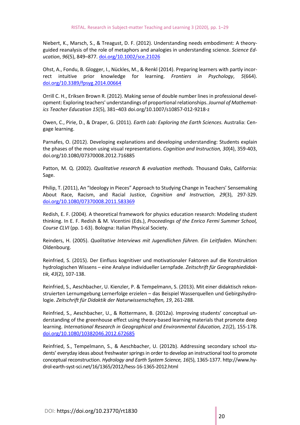Niebert, K., Marsch, S., & Treagust, D. F. (2012). Understanding needs embodiment: A theoryguided reanalysis of the role of metaphors and analogies in understanding science. *Science Education*, *96*(5), 849–877[. doi.org/10.1002/sce.21026](https://doi.org/10.1002/sce.21026)

Ohst, A., Fondu, B. Glogger, I., Nückles, M., & Renkl (2014). Preparing learners with partly incorrect intuitive prior knowledge for learning. *Frontiers in Psychology*, *5*(664). doi.org[/10.3389/fpsyg.2014.00664](https://dx.doi.org/10.3389%2Ffpsyg.2014.00664)

Orrill C. H., Eriksen Brown R. (2012). Making sense of double number lines in professional development: Exploring teachers' understandings of proportional relationships. *Journal of Mathematics Teacher Education 15*(5), 381–403 doi.org/10.1007/s10857-012-9218-z

Owen, C., Pirie, D., & Draper, G. (2011). *Earth Lab: Exploring the Earth Sciences.* Australia: Cengage learning.

Parnafes, O. (2012). Developing explanations and developing understanding: Students explain the phases of the moon using visual representations. *Cognition and Instruction, 30*(4), 359-403, doi.org/10.1080/07370008.2012.716885

Patton, M. Q. (2002). *Qualitative research & evaluation methods.* Thousand Oaks, California: Sage.

Philip, T. (2011), An "Ideology in Pieces" Approach to Studying Change in Teachers' Sensemaking About Race, Racism, and Racial Justice, *Cognition and Instruction, 29*(3), 297-329. [doi.org/10.1080/07370008.2011.583369](https://doi.org/10.1080/07370008.2011.583369)

Redish, E. F. (2004). A theoretical framework for physics education research: Modeling student thinking. In E. F. Redish & M. Vicentini (Eds.), *Proceedings of the Enrico Fermi Summer School, Course CLVI* (pp. 1-63). Bologna: Italian Physical Society.

Reinders, H. (2005). *Qualitative Interviews mit Jugendlichen führen. Ein Leitfaden.* München: Oldenbourg.

Reinfried, S. (2015). Der Einfluss kognitiver und motivationaler Faktoren auf die Konstruktion hydrologischen Wissens – eine Analyse individueller Lernpfade. *Zeitschrift für Geographiedidaktik, 43*(2), 107-138.

Reinfried, S., Aeschbacher, U. Kienzler, P. & Tempelmann, S. (2013). Mit einer didaktisch rekonstruierten Lernumgebung Lernerfolge erzielen – das Beispiel Wasserquellen und Gebirgshydrologie. *Zeitschrift für Didaktik der Naturwissenschaften, 19*, 261-288.

Reinfried, S., Aeschbacher, U., & Rottermann, B. (2012a). Improving students' conceptual understanding of the greenhouse effect using theory-based learning materials that promote deep learning. *International Research in Geographical and Environmental Education, 21*(2), 155-178. [doi.org/10.1080/10382046.2012.672685](https://doi.org/10.1080/10382046.2012.672685)

Reinfried, S., Tempelmann, S., & Aeschbacher, U. (2012b). Addressing secondary school students' everyday ideas about freshwater springs in order to develop an instructional tool to promote conceptual reconstruction. *Hydrology and Earth System Science, 16*(5), 1365-1377. http://www.hydrol-earth-syst-sci.net/16/1365/2012/hess-16-1365-2012.html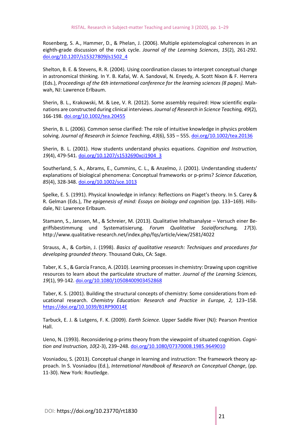Rosenberg, S. A., Hammer, D., & Phelan, J. (2006). Multiple epistemological coherences in an eighth-grade discussion of the rock cycle. *Journal of the Learning Sciences*, *15*(2), 261-292. [doi.org/10.1207/s15327809jls1502\\_4](https://doi.org/10.1207/s15327809jls1502_4)

Shelton, B. E. & Stevens, R. R. (2004). Using coordination classes to interpret conceptual change in astronomical thinking. In Y. B. Kafai, W. A. Sandoval, N. Enyedy, A. Scott Nixon & F. Herrera (Eds.), *Proceedings of the 6th international conference for the learning sciences (8 pages).* Mahwah, NJ: Lawrence Erlbaum.

Sherin, B. L., Krakowski, M. & Lee, V. R. (2012). Some assembly required: How scientific explanations are constructed during clinical interviews. *Journal of Research in Science Teaching, 49*(2), 166-198. [doi.org/10.1002/tea.20455](https://doi.org/10.1002/tea.20455)

Sherin, B. L. (2006). Common sense clarified: The role of intuitive knowledge in physics problem solving. *Journal of Research in Science Teaching*, *43*(6), 535 – 555. [doi.org/10.1002/tea.20136](https://doi.org/10.1002/tea.20136)

Sherin, B. L. (2001). How students understand physics equations. *Cognition and Instruction, 19*(4), 479-541. doi.org[/10.1207/s1532690xci1904\\_3](https://doi.org/10.1207/s1532690xci1904_3)

Southerland, S. A., Abrams, E., Cummins, C. L., & Anzelmo, J. (2001). Understanding students' explanations of biological phenomena: Conceptual frameworks or p-prims? *Science Education, 85*(4), 328-348. [doi.org/10.1002/sce.1013](https://psycnet.apa.org/doi/10.1002/sce.1013)

Spelke, E. S. (1991). Physical knowledge in infancy: Reflections on Piaget's theory. In S. Carey & R. Gelman (Eds.), *The epigenesis of mind: Essays on biology and cognition* (pp. 133–169). Hillsdale, NJ: Lawrence Erlbaum.

Stamann, S., Janssen, M., & Schreier, M. (2013). Qualitative Inhaltsanalyse – Versuch einer Begriffsbestimmung und Systematisierung. *Forum Qualitative Sozialforschung, 17*(3). http://www.qualitative-research.net/index.php/fqs/article/view/2581/4022

Strauss, A., & Corbin, J. (1998). *Basics of qualitative research: Techniques and procedures for developing grounded theory*. Thousand Oaks, CA: Sage.

Taber, K. S., & García Franco, A. (2010). Learning processes in chemistry: Drawing upon cognitive resources to learn about the particulate structure of matter. *Journal of the Learning Sciences, 19*(1), 99-142. [doi.org/10.1080/10508400903452868](https://doi.org/10.1080/10508400903452868)

Taber, K. S. (2001). Building the structural concepts of chemistry: Some considerations from educational research. *Chemistry Education: Research and Practice in Europe, 2,* 123–158. <https://doi.org/10.1039/B1RP90014E>

Tarbuck, E. J. & Lutgens, F. K. (2009). *Earth Science.* Upper Saddle River (NJ): Pearson Prentice Hall.

Ueno, N. (1993). Reconsidering p-prims theory from the viewpoint of situated cognition. *Cognition and Instruction, 10*(2-3), 239–248[. doi.org/10.1080/07370008.1985.9649010](https://doi.org/10.1080/07370008.1985.9649010)

Vosniadou, S. (2013). Conceptual change in learning and instruction: The framework theory approach. In S. Vosniadou (Ed.), *International Handbook of Research on Conceptual Change*, (pp. 11-30). New York: Routledge.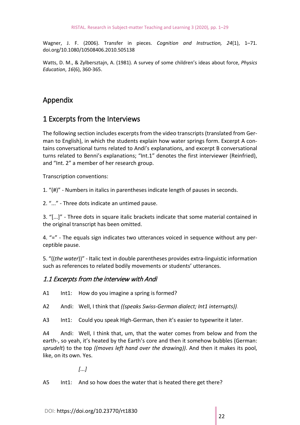Wagner, J. F. (2006). Transfer in pieces. *Cognition and Instruction, 24*(1), 1–71. doi.org/10.1080/10508406.2010.505138

Watts, D. M., & Zylbersztajn, A. (1981). A survey of some children's ideas about force, *Physics Education*, *16*(6), 360-365.

# Appendix

# 1 Excerpts from the Interviews

The following section includes excerpts from the video transcripts (translated from German to English), in which the students explain how water springs form. Excerpt A contains conversational turns related to Andi's explanations, and excerpt B conversational turns related to Benni's explanations; "Int.1" denotes the first interviewer (Reinfried), and "Int. 2" a member of her research group.

Transcription conventions:

1. "(#)" - Numbers in italics in parentheses indicate length of pauses in seconds.

2. "..." - Three dots indicate an untimed pause.

3. "[...]" - Three dots in square italic brackets indicate that some material contained in the original transcript has been omitted.

4. "=" - The equals sign indicates two utterances voiced in sequence without any perceptible pause.

5. "((*the water*))" - Italic text in double parentheses provides extra-linguistic information such as references to related bodily movements or students' utterances.

#### 1.1 Excerpts from the interview with Andi

A1 Int1: How do you imagine a spring is formed?

A2 Andi: Well, I think that *((speaks Swiss-German dialect; Int1 interrupts))*.

A3 Int1: Could you speak High-German, then it's easier to typewrite it later.

A4 Andi: Well, I think that, um, that the water comes from below and from the earth-, so yeah, it's heated by the Earth's core and then it somehow bubbles (German: *sprudelt*) to the top *((moves left hand over the drawing))*. And then it makes its pool, like, on its own. Yes.

*[...]*

A5 Int1: And so how does the water that is heated there get there?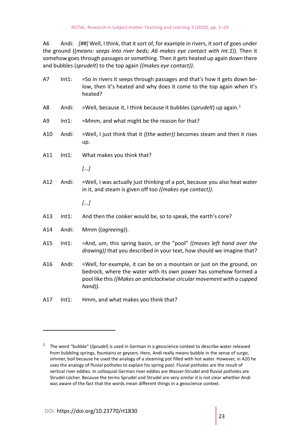A6 Andi: *[##]* Well, I think, that it sort of, for example in rivers, it sort of goes under the ground ((*means: seeps into river beds; A6 makes eye contact with Int.1*)). Then it somehow goes through passages or something. Then it gets heated up again down there and bubbles (*sprudelt*) to the top again *((makes eye contact)).*

| A7  | Int1:    | =So in rivers it seeps through passages and that's how it gets down be-<br>low, then it's heated and why does it come to the top again when it's<br>heated?                                                                     |
|-----|----------|---------------------------------------------------------------------------------------------------------------------------------------------------------------------------------------------------------------------------------|
| A8  | Andi:    | =Well, because it, I think because it bubbles (sprudelt) up again. <sup>1</sup>                                                                                                                                                 |
| A9  | $Int1$ : | =Mmm, and what might be the reason for that?                                                                                                                                                                                    |
| A10 | Andi:    | =Well, I just think that it ((the water)) becomes steam and then it rises<br>up.                                                                                                                                                |
| A11 | $Int1$ : | What makes you think that?                                                                                                                                                                                                      |
|     |          | []                                                                                                                                                                                                                              |
| A12 | Andi:    | =Well, I was actually just thinking of a pot, because you also heat water<br>in it, and steam is given off too ((makes eye contact)).                                                                                           |
|     |          | []                                                                                                                                                                                                                              |
| A13 | $Int1$ : | And then the cooker would be, so to speak, the earth's core?                                                                                                                                                                    |
| A14 | Andi:    | Mmm ((agreeing)).                                                                                                                                                                                                               |
| A15 | $Int1$ : | =And, um, this spring basin, or the "pool" ((moves left hand over the<br>drawing)) that you described in your text, how should we imagine that?                                                                                 |
| A16 | Andi:    | =Well, for example, it can be on a mountain or just on the ground, on<br>bedrock, where the water with its own power has somehow formed a<br>pool like this ((Makes an anticlockwise circular movement with a cupped<br>hand)). |
| A17 | $Int1$ : | Hmm, and what makes you think that?                                                                                                                                                                                             |

<u>.</u>

<span id="page-23-0"></span><sup>1</sup> The word "bubble" (*Sprudel*) is used in German in a geoscience context to describe water released from bubbling springs, fountains or geysers. Here, Andi really means bubble in the sense of surge, simmer, boil because he used the analogy of a steaming pot filled with hot water. However, in A20 he uses the analogy of fluvial potholes to explain his spring pool. Fluvial potholes are the result of vertical river eddies. In colloquial German river eddies are Wasser-Strudel and fluvial potholes are Strudel-Löcher. Because the terms Sprudel und Strudel are very similar it is not clear whether Andi was aware of the fact that the words mean different things in a geoscience context.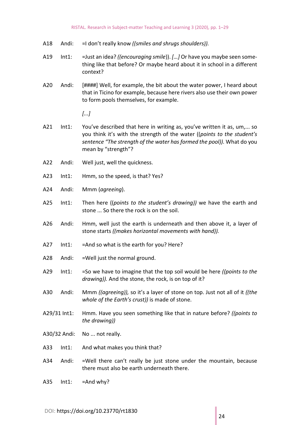- A18 Andi: =I don't really know *((smiles and shrugs shoulders)).*
- A19 Int1: =Just an idea? *((encouraging smile*)). *[…]* Or have you maybe seen something like that before? Or maybe heard about it in school in a different context?
- A20 Andi: [####] Well, for example, the bit about the water power, I heard about that in Ticino for example, because here rivers also use their own power to form pools themselves, for example.

- A21 Int1: You've described that here in writing as, you've written it as, um,... so you think it's with the strength of the water ((*points to the student's sentence "The strength of the water has formed the pool)).* What do you mean by "strength"?
- A22 Andi: Well just, well the quickness.
- A23 Int1: Hmm, so the speed, is that? Yes?
- A24 Andi: Mmm (*agreeing*).
- A25 Int1: Then here ((*points to the student's drawing))* we have the earth and stone ... So there the rock is on the soil.
- A26 Andi: Hmm, well just the earth is underneath and then above it, a layer of stone starts *((makes horizontal movements with hand)).*
- A27 Int1: =And so what is the earth for you? Here?
- A28 Andi: =Well just the normal ground.
- A29 Int1: =So we have to imagine that the top soil would be here *((points to the drawing)).* And the stone, the rock, is on top of it?
- A30 Andi: Mmm *((agreeing)),* so it's a layer of stone on top. Just not all of it *((the whole of the Earth's crust))* is made of stone.
- A29/31 Int1: Hmm. Have you seen something like that in nature before? *((points to the drawing))*
- A30/32 Andi: No ... not really.
- A33 Int1: And what makes you think that?
- A34 Andi: =Well there can't really be just stone under the mountain, because there must also be earth underneath there.
- A35 Int1: =And why?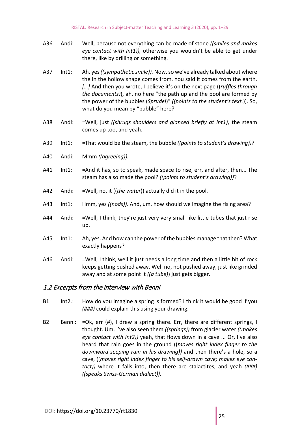- A36 Andi: Well, because not everything can be made of stone *((smiles and makes eye contact with Int1)),* otherwise you wouldn't be able to get under there, like by drilling or something.
- A37 Int1: Ah, yes *((sympathetic smile)).* Now, so we've already talked about where the in the hollow shape comes from. You said it comes from the earth. *[…]* And then you wrote, I believe it's on the next page ((*ruffles through the documents)*), ah, no here "the path up and the pool are formed by the power of the bubbles (*Sprudel*)" *((points to the student's text.*)). So, what do you mean by "bubble" here?
- A38 Andi: =Well, just *((shrugs shoulders and glanced briefly at Int1))* the steam comes up too, and yeah.
- A39 Int1: =That would be the steam, the bubble *((points to student's drawing))*?
- A40 Andi: Mmm *((agreeing)).*
- A41 Int1: =And it has, so to speak, made space to rise, err, and after, then... The steam has also made the pool? *((points to student's drawing))*?
- A42 Andi: =Well, no, it ((*the water*)) actually did it in the pool.
- A43 Int1: Hmm, yes *((nods)).* And, um, how should we imagine the rising area?
- A44 Andi: =Well, I think, they're just very very small like little tubes that just rise up.
- A45 Int1: Ah, yes. And how can the power of the bubbles manage that then? What exactly happens?
- A46 Andi: =Well, I think, well it just needs a long time and then a little bit of rock keeps getting pushed away. Well no, not pushed away, just like grinded away and at some point it *((a tube)*) just gets bigger.

#### 1.2 Excerpts from the interview with Benni

- B1 Int2.: How do you imagine a spring is formed? I think it would be good if you *(###)* could explain this using your drawing.
- B2 Benni: = Ok, err (#), I drew a spring there. Err, there are different springs, I thought. Um, I've also seen them *((springs))* from glacier water *((makes eye contact with Int2))* yeah, that flows down in a cave ... Or, I've also heard that rain goes in the ground ((*moves right index finger to the downward seeping rain in his drawing))* and then there's a hole, so a cave, ((*moves right index finger to his self-drawn cave; makes eye contact))* where it falls into, then there are stalactites, and yeah *(###) ((speaks Swiss-German dialect))*.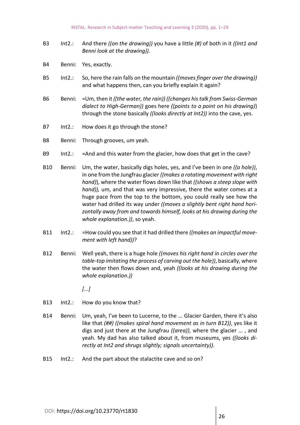- B3 Int2.: And there *((on the drawing))* you have a little *(#)* of both in it *((Int1 and Benni look at the drawing)).*
- B4 Benni: Yes, exactly.
- B5 Int2.: So, here the rain falls on the mountain *((moves finger over the drawing))* and what happens then, can you briefly explain it again?
- B6 Benni: =Um, then it *((the water, the rain)) ((changes his talk from Swiss-German dialect to High-German))* goes here *((points to a point on his drawing)*) through the stone basically *((looks directly at Int2))* into the cave, yes.
- B7 Int2.: How does it go through the stone?
- B8 Benni: Through grooves, um yeah.
- B9 Int2.: =And and this water from the glacier, how does that get in the cave?
- B10 Benni: Um, the water, basically digs holes, yes, and I've been in one *((a hole))*, in one from the Jungfrau glacier *((makes a rotating movement with right hand)*), where the water flows down like that *((shows a steep slope with hand)),* um, and that was very impressive, there the water comes at a huge pace from the top to the bottom, you could really see how the water had drilled its way under *((moves a slightly bent right hand horizontally away from and towards himself, looks at his drawing during the whole explanation.))*, so yeah.
- B11 Int2.: =How could you see that it had drilled there *((makes an impactful movement with left hand))*?
- B12 Benni: Well yeah, there is a huge hole *((moves his right hand in circles over the table-top imitating the process of carving out the hole))*, basically, where the water then flows down and, yeah *((looks at his drawing during the whole explanation.))*

- B13 Int2.: How do you know that?
- B14 Benni: Um, yeah, I've been to Lucerne, to the ... Glacier Garden, there it's also like that *(##) ((makes spiral hand movement as in turn B12))*, yes like it digs and just there at the Jungfrau *((area))*, where the glacier … , and yeah. My dad has also talked about it, from museums, yes *((looks directly at Int2 and shrugs slightly; signals uncertainty))*.
- B15 Int2.: And the part about the stalactite cave and so on?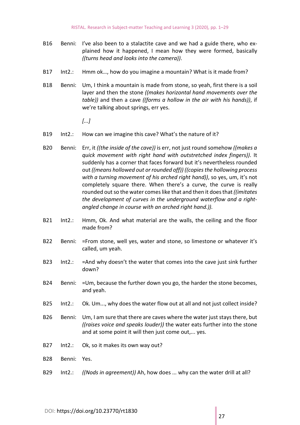- B16 Benni: I've also been to a stalactite cave and we had a guide there, who explained how it happened, I mean how they were formed, basically *((turns head and looks into the camera))*.
- B17 Int2.: Hmm ok…, how do you imagine a mountain? What is it made from?
- B18 Benni: Um, I think a mountain is made from stone, so yeah, first there is a soil layer and then the stone *((makes horizontal hand movements over the table))* and then a cave *((forms a hollow in the air with his hands))*, if we're talking about springs, err yes.

- B19 Int2.: How can we imagine this cave? What's the nature of it?
- B20 Benni: Err, it *((the inside of the cave))* is err, not just round somehow *((makes a quick movement with right hand with outstretched index fingers))*. It suddenly has a corner that faces forward but it's nevertheless rounded out *((means hollowed out or rounded off)) ((copies the hollowing process with a turning movement of his arched right hand))*, so yes, um, it's not completely square there. When there's a curve, the curve is really rounded out so the water comes like that and then it does that *((imitates the development of curves in the underground waterflow and a rightangled change in course with an arched right hand.)).*
- B21 Int2.: Hmm, Ok. And what material are the walls, the ceiling and the floor made from?
- B22 Benni: = From stone, well yes, water and stone, so limestone or whatever it's called, um yeah.
- B23 Int2.: = And why doesn't the water that comes into the cave just sink further down?
- B24 Benni: =Um, because the further down you go, the harder the stone becomes, and yeah.
- B25 Int2.: Ok. Um..., why does the water flow out at all and not just collect inside?
- B26 Benni: Um, I am sure that there are caves where the water just stays there, but *((raises voice and speaks louder))* the water eats further into the stone and at some point it will then just come out,... yes.
- B27 Int2.: Ok, so it makes its own way out?
- B28 Benni: Yes.
- B29 Int2.: *((Nods in agreement))* Ah, how does ... why can the water drill at all?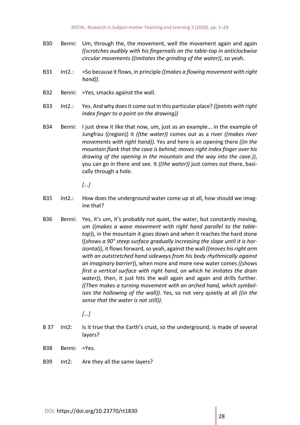- B30 Benni: Um, through the, the movement, well the movement again and again *((scratches audibly with his fingernails on the table-top in anticlockwise circular movements ((imitates the grinding of the water))*, so yeah.
- B31 Int2.: =So because it flows, in principle *((makes a flowing movement with right hand)).*
- B32 Benni: =Yes, smacks against the wall.
- B33 Int2.: Yes. And why does it come out in this particular place? *((points with right index finger to a point on the drawing))*
- B34 Benni: I just drew it like that now, um, just as an example... in the example of Jungfrau ((region)) it *((the water))* comes out as a river *((makes river movements with right hand))*. Yes and here is an opening there *((in the mountain flank that the cave is behind; moves right index finger over his drawing of the opening in the mountain and the way into the cave.))*, you can go in there and see. It *((the water))* just comes out there, basically through a hole.

- B35 Int2.: How does the underground water come up at all, how should we imagine that?
- B36 Benni: Yes, it's um, it's probably not quiet, the water, but constantly moving, um ((*makes a wave movement with right hand parallel to the tabletop*)), in the mountain it goes down and when it reaches the hard stone ((*shows a 90° steep surface gradually increasing the slope until it is horizontal))*, it flows forward, so yeah, against the wall *((moves his right arm with an outstretched hand sideways from his body rhythmically against an imaginary barrier*)), when more and more new water comes *((shows first a vertical surface with right hand, on which he imitates the drain water))*, then, it just hits the wall again and again and drills further. *((Then makes a turning movement with an arched hand, which symbolises the hollowing of the wall))*. Yes, so not very quietly at all *((in the sense that the water is not still))*.

- B 37 Int2: Is it true that the Earth's crust, so the underground, is made of several layers?
- B38 Benni: =Yes.
- B39 Int2: Are they all the same layers?